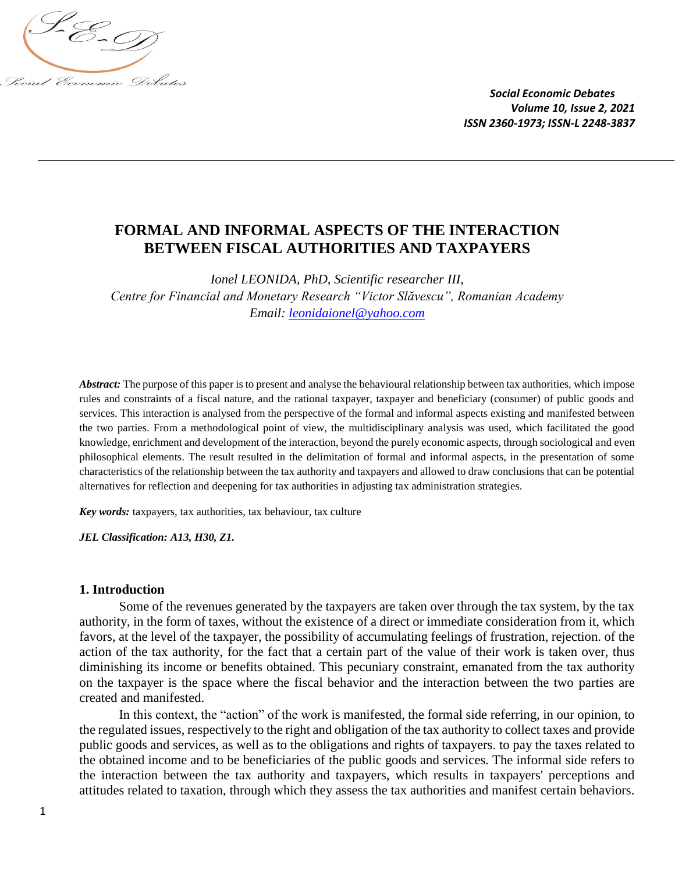

# **FORMAL AND INFORMAL ASPECTS OF THE INTERACTION BETWEEN FISCAL AUTHORITIES AND TAXPAYERS**

*Ionel LEONIDA, PhD, Scientific researcher III, Centre for Financial and Monetary Research "Victor Slăvescu", Romanian Academy Email: [leonidaionel@yahoo.com](mailto:leonidaionel@yahoo.com)*

*Abstract:* The purpose of this paper is to present and analyse the behavioural relationship between tax authorities, which impose rules and constraints of a fiscal nature, and the rational taxpayer, taxpayer and beneficiary (consumer) of public goods and services. This interaction is analysed from the perspective of the formal and informal aspects existing and manifested between the two parties. From a methodological point of view, the multidisciplinary analysis was used, which facilitated the good knowledge, enrichment and development of the interaction, beyond the purely economic aspects, through sociological and even philosophical elements. The result resulted in the delimitation of formal and informal aspects, in the presentation of some characteristics of the relationship between the tax authority and taxpayers and allowed to draw conclusions that can be potential alternatives for reflection and deepening for tax authorities in adjusting tax administration strategies.

*Key words:* taxpayers, tax authorities, tax behaviour, tax culture

*JEL Classification: A13, H30, Z1.*

#### **1. Introduction**

Some of the revenues generated by the taxpayers are taken over through the tax system, by the tax authority, in the form of taxes, without the existence of a direct or immediate consideration from it, which favors, at the level of the taxpayer, the possibility of accumulating feelings of frustration, rejection. of the action of the tax authority, for the fact that a certain part of the value of their work is taken over, thus diminishing its income or benefits obtained. This pecuniary constraint, emanated from the tax authority on the taxpayer is the space where the fiscal behavior and the interaction between the two parties are created and manifested.

In this context, the "action" of the work is manifested, the formal side referring, in our opinion, to the regulated issues, respectively to the right and obligation of the tax authority to collect taxes and provide public goods and services, as well as to the obligations and rights of taxpayers. to pay the taxes related to the obtained income and to be beneficiaries of the public goods and services. The informal side refers to the interaction between the tax authority and taxpayers, which results in taxpayers' perceptions and attitudes related to taxation, through which they assess the tax authorities and manifest certain behaviors.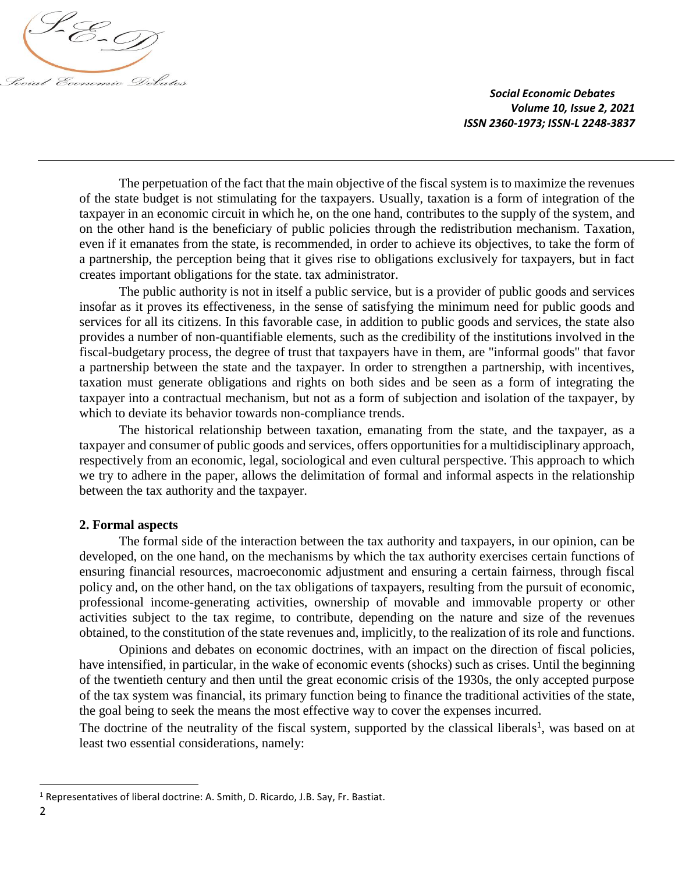

The perpetuation of the fact that the main objective of the fiscal system is to maximize the revenues of the state budget is not stimulating for the taxpayers. Usually, taxation is a form of integration of the taxpayer in an economic circuit in which he, on the one hand, contributes to the supply of the system, and on the other hand is the beneficiary of public policies through the redistribution mechanism. Taxation, even if it emanates from the state, is recommended, in order to achieve its objectives, to take the form of a partnership, the perception being that it gives rise to obligations exclusively for taxpayers, but in fact creates important obligations for the state. tax administrator.

The public authority is not in itself a public service, but is a provider of public goods and services insofar as it proves its effectiveness, in the sense of satisfying the minimum need for public goods and services for all its citizens. In this favorable case, in addition to public goods and services, the state also provides a number of non-quantifiable elements, such as the credibility of the institutions involved in the fiscal-budgetary process, the degree of trust that taxpayers have in them, are "informal goods" that favor a partnership between the state and the taxpayer. In order to strengthen a partnership, with incentives, taxation must generate obligations and rights on both sides and be seen as a form of integrating the taxpayer into a contractual mechanism, but not as a form of subjection and isolation of the taxpayer, by which to deviate its behavior towards non-compliance trends.

The historical relationship between taxation, emanating from the state, and the taxpayer, as a taxpayer and consumer of public goods and services, offers opportunities for a multidisciplinary approach, respectively from an economic, legal, sociological and even cultural perspective. This approach to which we try to adhere in the paper, allows the delimitation of formal and informal aspects in the relationship between the tax authority and the taxpayer.

#### **2. Formal aspects**

The formal side of the interaction between the tax authority and taxpayers, in our opinion, can be developed, on the one hand, on the mechanisms by which the tax authority exercises certain functions of ensuring financial resources, macroeconomic adjustment and ensuring a certain fairness, through fiscal policy and, on the other hand, on the tax obligations of taxpayers, resulting from the pursuit of economic, professional income-generating activities, ownership of movable and immovable property or other activities subject to the tax regime, to contribute, depending on the nature and size of the revenues obtained, to the constitution of the state revenues and, implicitly, to the realization of its role and functions.

Opinions and debates on economic doctrines, with an impact on the direction of fiscal policies, have intensified, in particular, in the wake of economic events (shocks) such as crises. Until the beginning of the twentieth century and then until the great economic crisis of the 1930s, the only accepted purpose of the tax system was financial, its primary function being to finance the traditional activities of the state, the goal being to seek the means the most effective way to cover the expenses incurred.

The doctrine of the neutrality of the fiscal system, supported by the classical liberals<sup>1</sup>, was based on at least two essential considerations, namely:

l

<sup>&</sup>lt;sup>1</sup> Representatives of liberal doctrine: A. Smith, D. Ricardo, J.B. Say, Fr. Bastiat.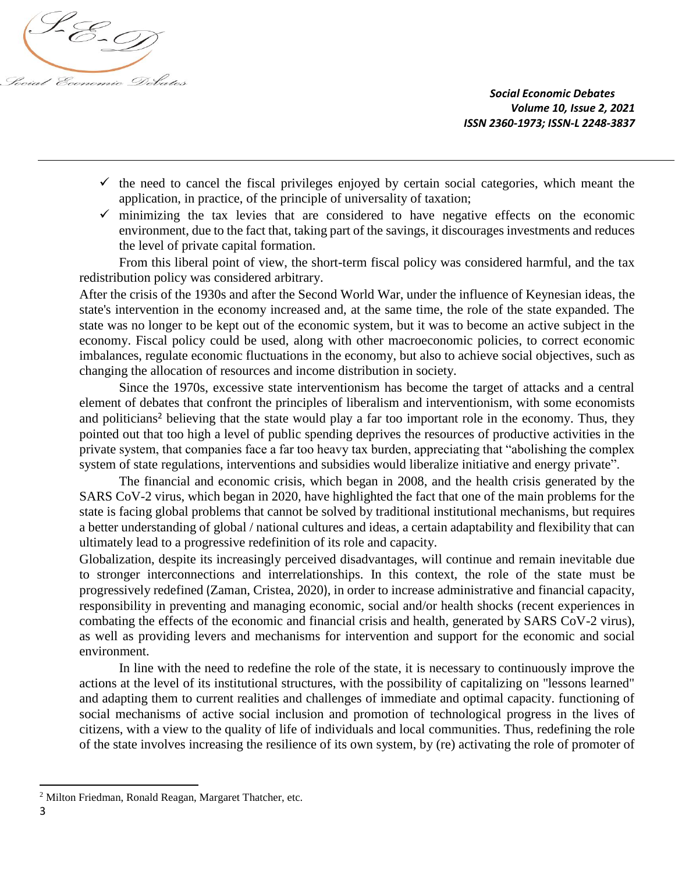

- $\checkmark$  the need to cancel the fiscal privileges enjoyed by certain social categories, which meant the application, in practice, of the principle of universality of taxation;
- $\checkmark$  minimizing the tax levies that are considered to have negative effects on the economic environment, due to the fact that, taking part of the savings, it discourages investments and reduces the level of private capital formation.

From this liberal point of view, the short-term fiscal policy was considered harmful, and the tax redistribution policy was considered arbitrary.

After the crisis of the 1930s and after the Second World War, under the influence of Keynesian ideas, the state's intervention in the economy increased and, at the same time, the role of the state expanded. The state was no longer to be kept out of the economic system, but it was to become an active subject in the economy. Fiscal policy could be used, along with other macroeconomic policies, to correct economic imbalances, regulate economic fluctuations in the economy, but also to achieve social objectives, such as changing the allocation of resources and income distribution in society.

Since the 1970s, excessive state interventionism has become the target of attacks and a central element of debates that confront the principles of liberalism and interventionism, with some economists and politicians<sup>2</sup> believing that the state would play a far too important role in the economy. Thus, they pointed out that too high a level of public spending deprives the resources of productive activities in the private system, that companies face a far too heavy tax burden, appreciating that "abolishing the complex system of state regulations, interventions and subsidies would liberalize initiative and energy private".

The financial and economic crisis, which began in 2008, and the health crisis generated by the SARS CoV-2 virus, which began in 2020, have highlighted the fact that one of the main problems for the state is facing global problems that cannot be solved by traditional institutional mechanisms, but requires a better understanding of global / national cultures and ideas, a certain adaptability and flexibility that can ultimately lead to a progressive redefinition of its role and capacity.

Globalization, despite its increasingly perceived disadvantages, will continue and remain inevitable due to stronger interconnections and interrelationships. In this context, the role of the state must be progressively redefined (Zaman, Cristea, 2020), in order to increase administrative and financial capacity, responsibility in preventing and managing economic, social and/or health shocks (recent experiences in combating the effects of the economic and financial crisis and health, generated by SARS CoV-2 virus), as well as providing levers and mechanisms for intervention and support for the economic and social environment.

In line with the need to redefine the role of the state, it is necessary to continuously improve the actions at the level of its institutional structures, with the possibility of capitalizing on "lessons learned" and adapting them to current realities and challenges of immediate and optimal capacity. functioning of social mechanisms of active social inclusion and promotion of technological progress in the lives of citizens, with a view to the quality of life of individuals and local communities. Thus, redefining the role of the state involves increasing the resilience of its own system, by (re) activating the role of promoter of

 $\overline{\phantom{a}}$ 

<sup>2</sup> Milton Friedman, Ronald Reagan, Margaret Thatcher, etc.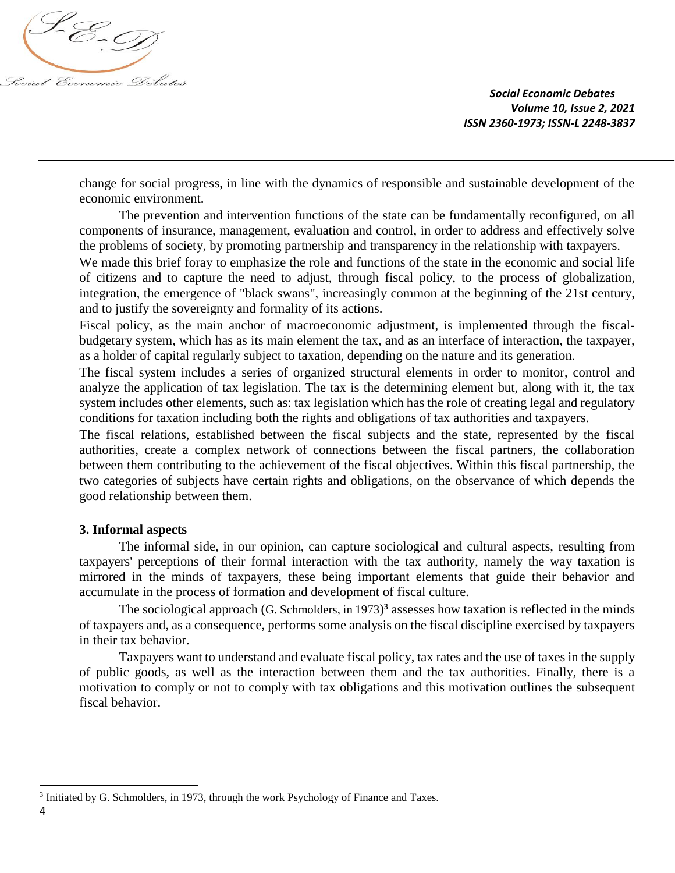

change for social progress, in line with the dynamics of responsible and sustainable development of the economic environment.

The prevention and intervention functions of the state can be fundamentally reconfigured, on all components of insurance, management, evaluation and control, in order to address and effectively solve the problems of society, by promoting partnership and transparency in the relationship with taxpayers.

We made this brief foray to emphasize the role and functions of the state in the economic and social life of citizens and to capture the need to adjust, through fiscal policy, to the process of globalization, integration, the emergence of "black swans", increasingly common at the beginning of the 21st century, and to justify the sovereignty and formality of its actions.

Fiscal policy, as the main anchor of macroeconomic adjustment, is implemented through the fiscalbudgetary system, which has as its main element the tax, and as an interface of interaction, the taxpayer, as a holder of capital regularly subject to taxation, depending on the nature and its generation.

The fiscal system includes a series of organized structural elements in order to monitor, control and analyze the application of tax legislation. The tax is the determining element but, along with it, the tax system includes other elements, such as: tax legislation which has the role of creating legal and regulatory conditions for taxation including both the rights and obligations of tax authorities and taxpayers.

The fiscal relations, established between the fiscal subjects and the state, represented by the fiscal authorities, create a complex network of connections between the fiscal partners, the collaboration between them contributing to the achievement of the fiscal objectives. Within this fiscal partnership, the two categories of subjects have certain rights and obligations, on the observance of which depends the good relationship between them.

## **3. Informal aspects**

The informal side, in our opinion, can capture sociological and cultural aspects, resulting from taxpayers' perceptions of their formal interaction with the tax authority, namely the way taxation is mirrored in the minds of taxpayers, these being important elements that guide their behavior and accumulate in the process of formation and development of fiscal culture.

The sociological approach (G. Schmolders, in 1973)<sup>3</sup> assesses how taxation is reflected in the minds of taxpayers and, as a consequence, performs some analysis on the fiscal discipline exercised by taxpayers in their tax behavior.

Taxpayers want to understand and evaluate fiscal policy, tax rates and the use of taxes in the supply of public goods, as well as the interaction between them and the tax authorities. Finally, there is a motivation to comply or not to comply with tax obligations and this motivation outlines the subsequent fiscal behavior.

 $\overline{\phantom{a}}$ 

<sup>&</sup>lt;sup>3</sup> Initiated by G. Schmolders, in 1973, through the work Psychology of Finance and Taxes.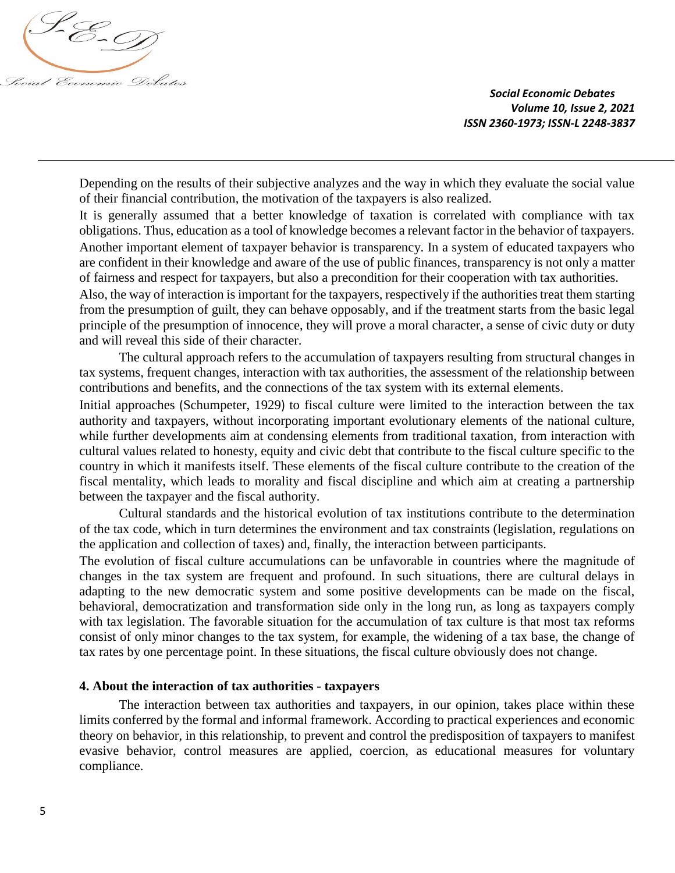

Depending on the results of their subjective analyzes and the way in which they evaluate the social value of their financial contribution, the motivation of the taxpayers is also realized.

It is generally assumed that a better knowledge of taxation is correlated with compliance with tax obligations. Thus, education as a tool of knowledge becomes a relevant factor in the behavior of taxpayers. Another important element of taxpayer behavior is transparency. In a system of educated taxpayers who are confident in their knowledge and aware of the use of public finances, transparency is not only a matter of fairness and respect for taxpayers, but also a precondition for their cooperation with tax authorities.

Also, the way of interaction is important for the taxpayers, respectively if the authorities treat them starting from the presumption of guilt, they can behave opposably, and if the treatment starts from the basic legal principle of the presumption of innocence, they will prove a moral character, a sense of civic duty or duty and will reveal this side of their character.

The cultural approach refers to the accumulation of taxpayers resulting from structural changes in tax systems, frequent changes, interaction with tax authorities, the assessment of the relationship between contributions and benefits, and the connections of the tax system with its external elements.

Initial approaches (Schumpeter, 1929) to fiscal culture were limited to the interaction between the tax authority and taxpayers, without incorporating important evolutionary elements of the national culture, while further developments aim at condensing elements from traditional taxation, from interaction with cultural values related to honesty, equity and civic debt that contribute to the fiscal culture specific to the country in which it manifests itself. These elements of the fiscal culture contribute to the creation of the fiscal mentality, which leads to morality and fiscal discipline and which aim at creating a partnership between the taxpayer and the fiscal authority.

Cultural standards and the historical evolution of tax institutions contribute to the determination of the tax code, which in turn determines the environment and tax constraints (legislation, regulations on the application and collection of taxes) and, finally, the interaction between participants.

The evolution of fiscal culture accumulations can be unfavorable in countries where the magnitude of changes in the tax system are frequent and profound. In such situations, there are cultural delays in adapting to the new democratic system and some positive developments can be made on the fiscal, behavioral, democratization and transformation side only in the long run, as long as taxpayers comply with tax legislation. The favorable situation for the accumulation of tax culture is that most tax reforms consist of only minor changes to the tax system, for example, the widening of a tax base, the change of tax rates by one percentage point. In these situations, the fiscal culture obviously does not change.

#### **4. About the interaction of tax authorities - taxpayers**

The interaction between tax authorities and taxpayers, in our opinion, takes place within these limits conferred by the formal and informal framework. According to practical experiences and economic theory on behavior, in this relationship, to prevent and control the predisposition of taxpayers to manifest evasive behavior, control measures are applied, coercion, as educational measures for voluntary compliance.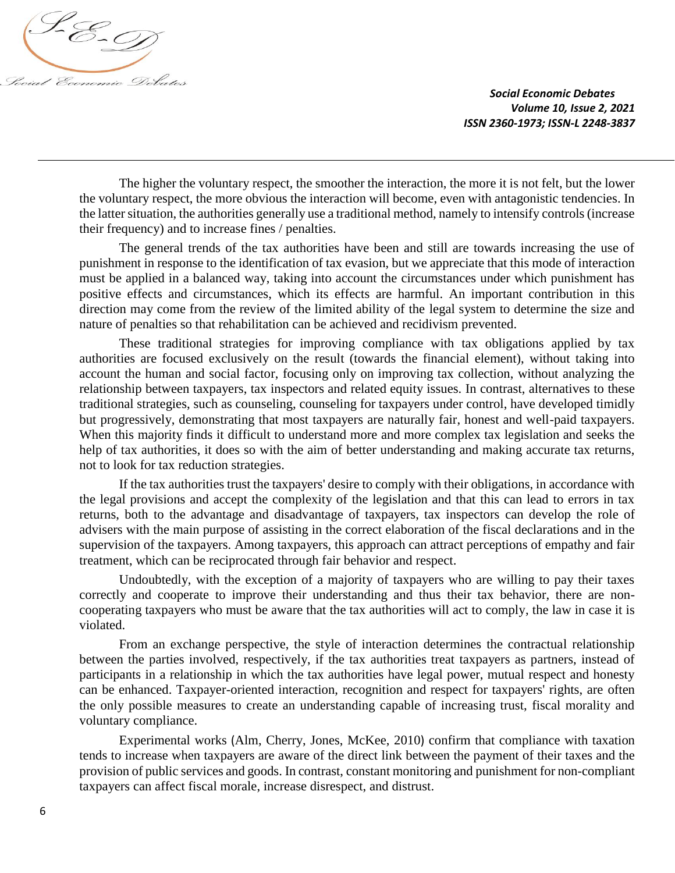

The higher the voluntary respect, the smoother the interaction, the more it is not felt, but the lower the voluntary respect, the more obvious the interaction will become, even with antagonistic tendencies. In the latter situation, the authorities generally use a traditional method, namely to intensify controls (increase their frequency) and to increase fines / penalties.

The general trends of the tax authorities have been and still are towards increasing the use of punishment in response to the identification of tax evasion, but we appreciate that this mode of interaction must be applied in a balanced way, taking into account the circumstances under which punishment has positive effects and circumstances, which its effects are harmful. An important contribution in this direction may come from the review of the limited ability of the legal system to determine the size and nature of penalties so that rehabilitation can be achieved and recidivism prevented.

These traditional strategies for improving compliance with tax obligations applied by tax authorities are focused exclusively on the result (towards the financial element), without taking into account the human and social factor, focusing only on improving tax collection, without analyzing the relationship between taxpayers, tax inspectors and related equity issues. In contrast, alternatives to these traditional strategies, such as counseling, counseling for taxpayers under control, have developed timidly but progressively, demonstrating that most taxpayers are naturally fair, honest and well-paid taxpayers. When this majority finds it difficult to understand more and more complex tax legislation and seeks the help of tax authorities, it does so with the aim of better understanding and making accurate tax returns, not to look for tax reduction strategies.

If the tax authorities trust the taxpayers' desire to comply with their obligations, in accordance with the legal provisions and accept the complexity of the legislation and that this can lead to errors in tax returns, both to the advantage and disadvantage of taxpayers, tax inspectors can develop the role of advisers with the main purpose of assisting in the correct elaboration of the fiscal declarations and in the supervision of the taxpayers. Among taxpayers, this approach can attract perceptions of empathy and fair treatment, which can be reciprocated through fair behavior and respect.

Undoubtedly, with the exception of a majority of taxpayers who are willing to pay their taxes correctly and cooperate to improve their understanding and thus their tax behavior, there are noncooperating taxpayers who must be aware that the tax authorities will act to comply, the law in case it is violated.

From an exchange perspective, the style of interaction determines the contractual relationship between the parties involved, respectively, if the tax authorities treat taxpayers as partners, instead of participants in a relationship in which the tax authorities have legal power, mutual respect and honesty can be enhanced. Taxpayer-oriented interaction, recognition and respect for taxpayers' rights, are often the only possible measures to create an understanding capable of increasing trust, fiscal morality and voluntary compliance.

Experimental works (Alm, Cherry, Jones, McKee, 2010) confirm that compliance with taxation tends to increase when taxpayers are aware of the direct link between the payment of their taxes and the provision of public services and goods. In contrast, constant monitoring and punishment for non-compliant taxpayers can affect fiscal morale, increase disrespect, and distrust.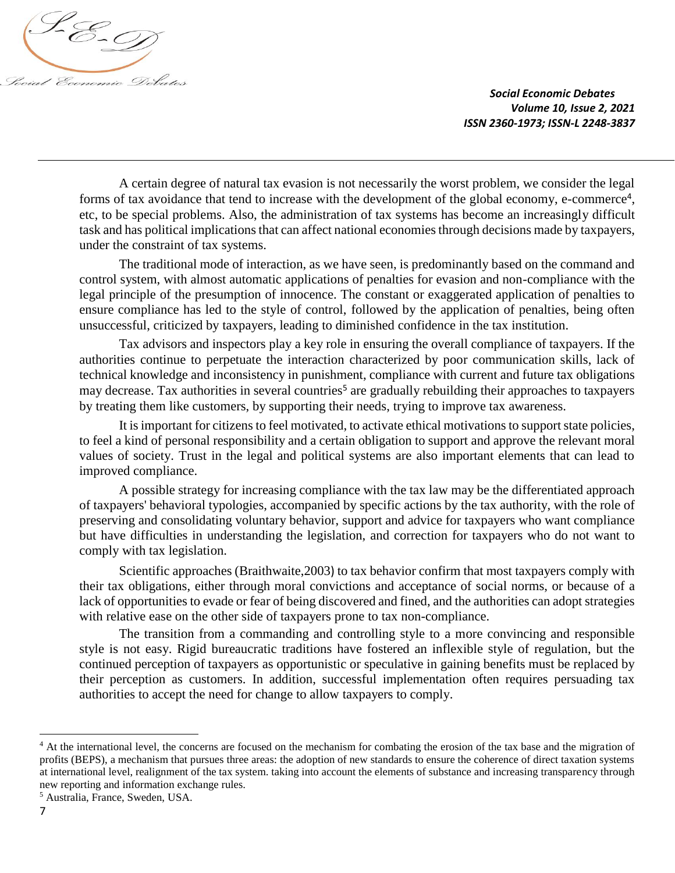

A certain degree of natural tax evasion is not necessarily the worst problem, we consider the legal forms of tax avoidance that tend to increase with the development of the global economy, e-commerce<sup>4</sup>, etc, to be special problems. Also, the administration of tax systems has become an increasingly difficult task and has political implications that can affect national economies through decisions made by taxpayers, under the constraint of tax systems.

The traditional mode of interaction, as we have seen, is predominantly based on the command and control system, with almost automatic applications of penalties for evasion and non-compliance with the legal principle of the presumption of innocence. The constant or exaggerated application of penalties to ensure compliance has led to the style of control, followed by the application of penalties, being often unsuccessful, criticized by taxpayers, leading to diminished confidence in the tax institution.

Tax advisors and inspectors play a key role in ensuring the overall compliance of taxpayers. If the authorities continue to perpetuate the interaction characterized by poor communication skills, lack of technical knowledge and inconsistency in punishment, compliance with current and future tax obligations may decrease. Tax authorities in several countries<sup>5</sup> are gradually rebuilding their approaches to taxpayers by treating them like customers, by supporting their needs, trying to improve tax awareness.

It is important for citizens to feel motivated, to activate ethical motivations to support state policies, to feel a kind of personal responsibility and a certain obligation to support and approve the relevant moral values of society. Trust in the legal and political systems are also important elements that can lead to improved compliance.

A possible strategy for increasing compliance with the tax law may be the differentiated approach of taxpayers' behavioral typologies, accompanied by specific actions by the tax authority, with the role of preserving and consolidating voluntary behavior, support and advice for taxpayers who want compliance but have difficulties in understanding the legislation, and correction for taxpayers who do not want to comply with tax legislation.

Scientific approaches (Braithwaite,2003) to tax behavior confirm that most taxpayers comply with their tax obligations, either through moral convictions and acceptance of social norms, or because of a lack of opportunities to evade or fear of being discovered and fined, and the authorities can adopt strategies with relative ease on the other side of taxpayers prone to tax non-compliance.

The transition from a commanding and controlling style to a more convincing and responsible style is not easy. Rigid bureaucratic traditions have fostered an inflexible style of regulation, but the continued perception of taxpayers as opportunistic or speculative in gaining benefits must be replaced by their perception as customers. In addition, successful implementation often requires persuading tax authorities to accept the need for change to allow taxpayers to comply.

l

<sup>&</sup>lt;sup>4</sup> At the international level, the concerns are focused on the mechanism for combating the erosion of the tax base and the migration of profits (BEPS), a mechanism that pursues three areas: the adoption of new standards to ensure the coherence of direct taxation systems at international level, realignment of the tax system. taking into account the elements of substance and increasing transparency through new reporting and information exchange rules.

<sup>5</sup> Australia, France, Sweden, USA.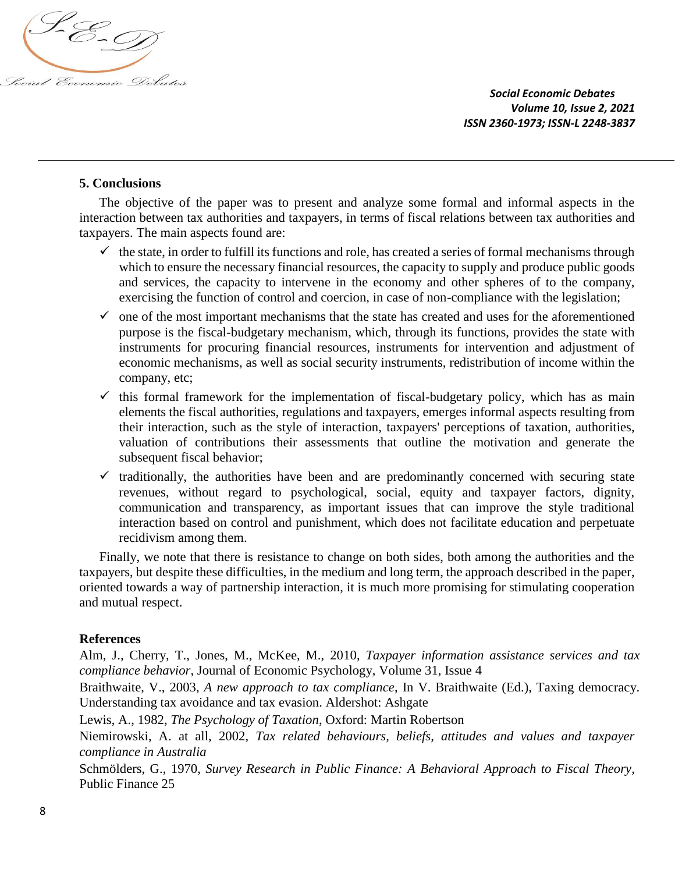

# **5. Conclusions**

The objective of the paper was to present and analyze some formal and informal aspects in the interaction between tax authorities and taxpayers, in terms of fiscal relations between tax authorities and taxpayers. The main aspects found are:

- $\checkmark$  the state, in order to fulfill its functions and role, has created a series of formal mechanisms through which to ensure the necessary financial resources, the capacity to supply and produce public goods and services, the capacity to intervene in the economy and other spheres of to the company, exercising the function of control and coercion, in case of non-compliance with the legislation;
- $\checkmark$  one of the most important mechanisms that the state has created and uses for the aforementioned purpose is the fiscal-budgetary mechanism, which, through its functions, provides the state with instruments for procuring financial resources, instruments for intervention and adjustment of economic mechanisms, as well as social security instruments, redistribution of income within the company, etc;
- $\checkmark$  this formal framework for the implementation of fiscal-budgetary policy, which has as main elements the fiscal authorities, regulations and taxpayers, emerges informal aspects resulting from their interaction, such as the style of interaction, taxpayers' perceptions of taxation, authorities, valuation of contributions their assessments that outline the motivation and generate the subsequent fiscal behavior;
- $\checkmark$  traditionally, the authorities have been and are predominantly concerned with securing state revenues, without regard to psychological, social, equity and taxpayer factors, dignity, communication and transparency, as important issues that can improve the style traditional interaction based on control and punishment, which does not facilitate education and perpetuate recidivism among them.

Finally, we note that there is resistance to change on both sides, both among the authorities and the taxpayers, but despite these difficulties, in the medium and long term, the approach described in the paper, oriented towards a way of partnership interaction, it is much more promising for stimulating cooperation and mutual respect.

## **References**

Alm, J., Cherry, T., Jones, M., McKee, M., 2010, *[Taxpayer information assistance services and tax](http://www.sciencedirect.com/science/article/pii/S016748701000053X)  [compliance behavior](http://www.sciencedirect.com/science/article/pii/S016748701000053X)*, Journal of Economic Psychology, Volume 31, Issue 4

Braithwaite, V., 2003, *A new approach to tax compliance*, In V. Braithwaite (Ed.), Taxing democracy. Understanding tax avoidance and tax evasion. Aldershot: Ashgate

Lewis, A., 1982, *The Psychology of Taxation*, Oxford: Martin Robertson

Niemirowski, A. at all, 2002, *Tax related behaviours, beliefs, attitudes and values and taxpayer compliance in Australia*

Schmölders, G., 1970, *Survey Research in Public Finance: A Behavioral Approach to Fiscal Theory,*  Public Finance 25